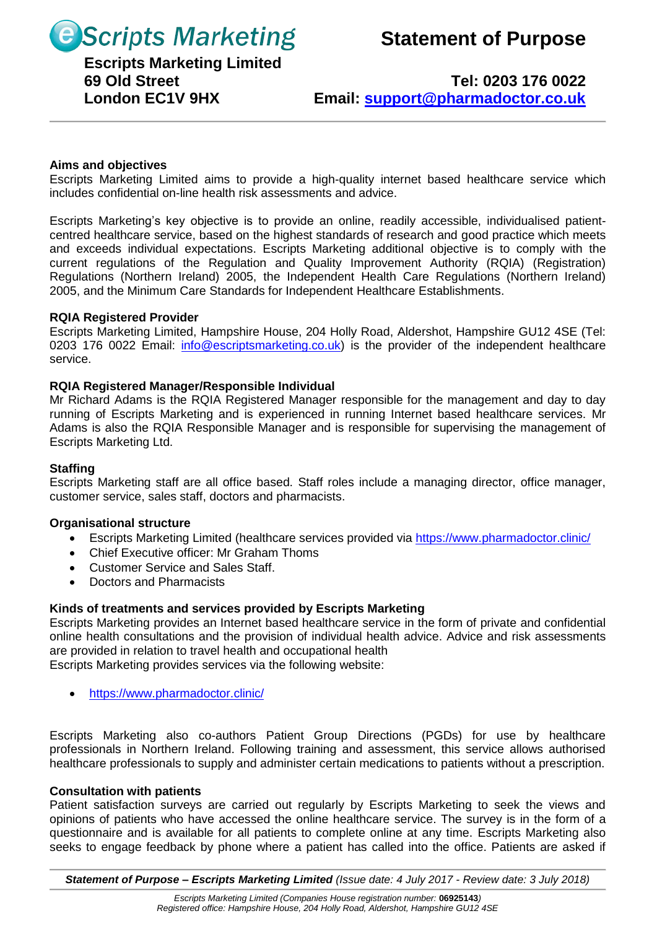**B** Scripts Marketing Statement of Purpose

# **Escripts Marketing Limited**

 **69 Old Street Tel: 0203 176 0022 London EC1V 9HX Email: [support@pharmadoctor.co.uk](mailto:support@pharmadoctor.co.uk)**

# **Aims and objectives**

Escripts Marketing Limited aims to provide a high-quality internet based healthcare service which includes confidential on-line health risk assessments and advice.

Escripts Marketing's key objective is to provide an online, readily accessible, individualised patientcentred healthcare service, based on the highest standards of research and good practice which meets and exceeds individual expectations. Escripts Marketing additional objective is to comply with the current regulations of the Regulation and Quality Improvement Authority (RQIA) (Registration) Regulations (Northern Ireland) 2005, the Independent Health Care Regulations (Northern Ireland) 2005, and the Minimum Care Standards for Independent Healthcare Establishments.

## **RQIA Registered Provider**

Escripts Marketing Limited, Hampshire House, 204 Holly Road, Aldershot, Hampshire GU12 4SE (Tel: 0203 176 0022 Email: [info@escriptsmarketing.co.uk\)](mailto:info@escriptsmarketing.co.uk) is the provider of the independent healthcare service.

## **RQIA Registered Manager/Responsible Individual**

Mr Richard Adams is the RQIA Registered Manager responsible for the management and day to day running of Escripts Marketing and is experienced in running Internet based healthcare services. Mr Adams is also the RQIA Responsible Manager and is responsible for supervising the management of Escripts Marketing Ltd.

### **Staffing**

Escripts Marketing staff are all office based. Staff roles include a managing director, office manager, customer service, sales staff, doctors and pharmacists.

#### **Organisational structure**

- Escripts Marketing Limited (healthcare services provided via<https://www.pharmadoctor.clinic/>
- Chief Executive officer: Mr Graham Thoms
- Customer Service and Sales Staff.
- Doctors and Pharmacists

# **Kinds of treatments and services provided by Escripts Marketing**

Escripts Marketing provides an Internet based healthcare service in the form of private and confidential online health consultations and the provision of individual health advice. Advice and risk assessments are provided in relation to travel health and occupational health

Escripts Marketing provides services via the following website:

• <https://www.pharmadoctor.clinic/>

Escripts Marketing also co-authors Patient Group Directions (PGDs) for use by healthcare professionals in Northern Ireland. Following training and assessment, this service allows authorised healthcare professionals to supply and administer certain medications to patients without a prescription.

#### **Consultation with patients**

Patient satisfaction surveys are carried out regularly by Escripts Marketing to seek the views and opinions of patients who have accessed the online healthcare service. The survey is in the form of a questionnaire and is available for all patients to complete online at any time. Escripts Marketing also seeks to engage feedback by phone where a patient has called into the office. Patients are asked if

*Statement of Purpose – Escripts Marketing Limited (Issue date: 4 July 2017 - Review date: 3 July 2018)*